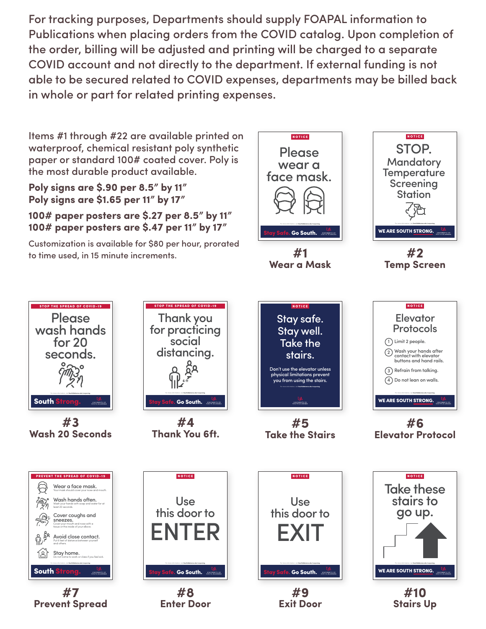For tracking purposes, Departments should supply FOAPAL information to Publications when placing orders from the COVID catalog. Upon completion of the order, billing will be adjusted and printing will be charged to a separate COVID account and not directly to the department. If external funding is not able to be secured related to COVID expenses, departments may be billed back in whole or part for related printing expenses.

Items #1 through #22 are available printed on waterproof, chemical resistant poly synthetic paper or standard 100# coated cover. Poly is the most durable product available.

**Poly signs are \$.90 per 8.5" by 11" Poly signs are \$1.65 per 11" by 17"** 

## **100# paper posters are \$.27 per 8.5" by 11" 100# paper posters are \$.47 per 11" by 17"**

Customization is available for \$80 per hour, prorated to time used, in 15 minute increments.



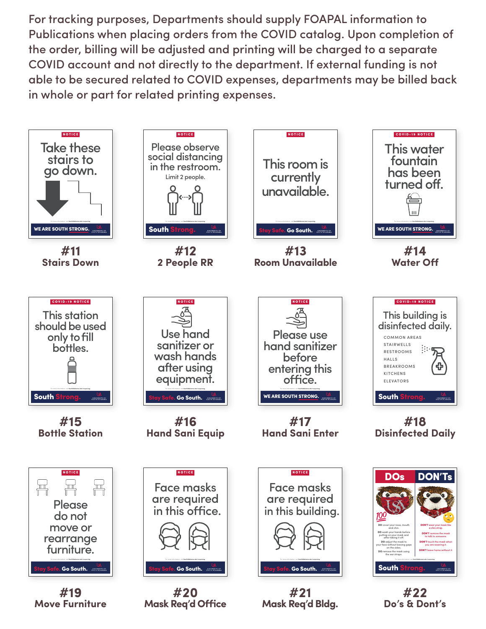For tracking purposes, Departments should supply FOAPAL information to Publications when placing orders from the COVID catalog. Upon completion of the order, billing will be adjusted and printing will be charged to a separate COVID account and not directly to the department. If external funding is not able to be secured related to COVID expenses, departments may be billed back in whole or part for related printing expenses.

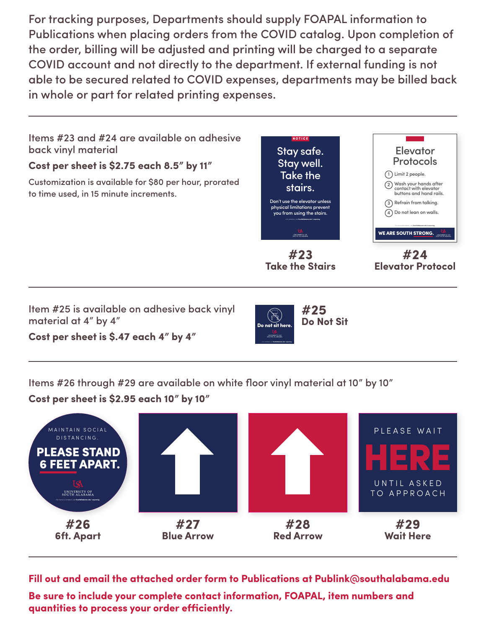For tracking purposes, Departments should supply FOAPAL information to Publications when placing orders from the COVID catalog. Upon completion of the order, billing will be adjusted and printing will be charged to a separate COVID account and not directly to the department. If external funding is not able to be secured related to COVID expenses, departments may be billed back in whole or part for related printing expenses.





**Fill out and email the attached order form to Publications at [Publink@southalabama.edu](mailto:Publink@southalabama.edu)** 

**Be sure to include your complete contact information, FOAPAL, item numbers and quantities to process your order efficiently.**